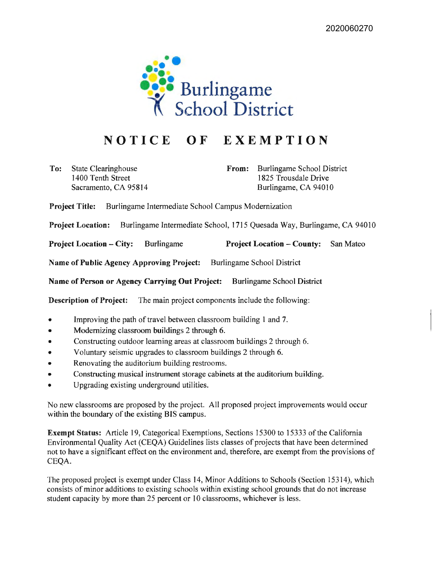

## **NOTICE OF EXEMPTION**

**To:** State Clearinghouse 1400 Tenth Street Sacramento, CA 95814 **From:** Burlingame School District 1825 Trousdale Drive Burlingame, CA 94010

**Project Title:** Burlingame Intermediate School Campus Modernization

**Project Location:** Burlingame Intermediate School, 1715 Quesada Way, Burlingame, CA 94010

**Project Location** - **City:** Burlingame **Project Location** - **County:** San Mateo

**Name of Public Agency Approving Project:** Burlingame School District

**Name of Person or Agency Carrying Out Project:** Burlingame School District

**Description of Project:** The main project components include the following:

- Improving the path of travel between classroom building 1 and 7.
- Modernizing classroom buildings 2 through 6.
- Constructing outdoor learning areas at classroom buildings 2 through 6.
- Voluntary seismic upgrades to classroom buildings 2 through 6.
- Renovating the auditorium building restrooms.
- Constructing musical instrument storage cabinets at the auditorium building.
- Upgrading existing underground utilities.

No new classrooms are proposed by the project. All proposed project improvements would occur within the boundary of the existing BIS campus.

**Exempt Status:** Article 19, Categorical Exemptions, Sections 15300 to 15333 of the California Environmental Quality Act (CEQA) Guidelines lists classes of projects that have been determined not to have a significant effect on the environment and, therefore, are exempt from the provisions of CEQA.

The proposed project is exempt under Class 14, Minor Additions to Schools (Section 15314), which consists of minor additions to existing schools within existing school grounds that do not increase student capacity by more than 25 percent or 10 classrooms, whichever is less.